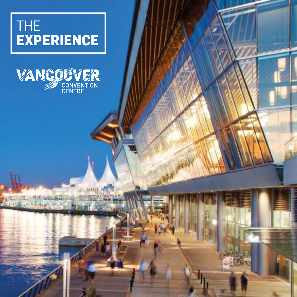### THE **EXPERIENCE**



MILTWAIT

**RESERVED**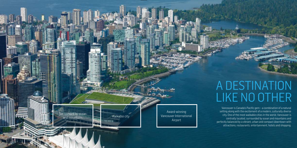## A DESTINATION LIKE NO OTHER

Vancouver is Canada's Pacific gem – a combination of a natural setting along with the excitement of a modern, culturally diverse city. One of the most walkable cities in the world, Vancouver is centrally located, surrounded by ocean and mountains and perfectly balanced by a vibrant, urban and compact downtown with attractions, restaurants, entertainment, hotels and shopping.

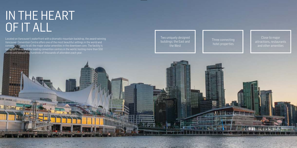## IN THE HEART OF IT ALL

**IF ET 3:3** пта

Located on Vancouver's waterfront with a dramatic mountain backdrop, the award-winning Vancouver Convention Centre offers one of the most beautiful settings in the world and convenient access to all the major visitor amenities in the downtown core. The facility is recognized as one of the leading convention centres in the world, hosting more than 550 events and welcoming hundreds of thousands of attendees each year.

Close to major attractions, restaurants and other amenities



### Three connecting hotel properties

Two uniquely designed buildings: the East and the West

> **LINO AND THE** 28 (335 cm year **M HOLDER AND**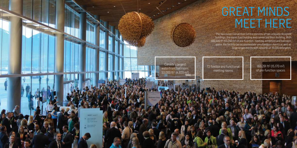# GREAT MINDS MEET HERE

The Vancouver Convention Centre consists of two uniquely designed buildings, the iconic East building and connected West building. With 466,500 ft<sup>2</sup> (43,340 m<sup>2</sup> ) of pre-function, meeting, exhibition and ballroom space, the facility can accommodate simultaneous events as well as large single events with upwards of 16,000 delegates.

> 163,291 ft 2 (15,170 m2) of pre-function spaces

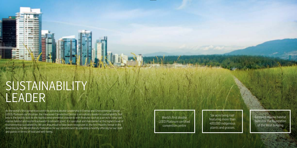Six-acre living roof featuring more than 400,000 indigenous plants and grasses

Restored marine habitat built into the foundation of the West building

World's first double LEED Platinum certified convention centre

## SUSTAINABILITY LEADER

As the world's first convention centre to achieve double Leadership in Energy and Environmental Design (LEED) Platinum certification, the Vancouver Convention Centre is an industry leader in sustainability. Not only is the facility built to the highest environmental standards with features such as a six-acre living roof, marine habitat and onsite blackwater treatment plant, it is operated and maintained at the highest level of environmental sustainability. We are also proud to have been recognized as the first Healthy Venue in the Americas by the World Obesity Federation for our commitment to providing a healthy offering for our staff and guests in terms of food and well-being.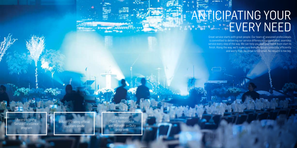Renowned Guest Ambassador and Manager on Duty programs

Industry-leading official suppliers onsite

Award-winning Service Excellence program

# ANTICIPATING YOUR EVERY NEED

Great service starts with great people. Our team of seasoned professionals is committed to delivering our service difference – unparalleled, seamless service every step of the way. We can help you plan your event from start to finish. Along the way, we'll make sure everything runs smoothly, efficiently and worry-free. No detail is too small. No request is too big.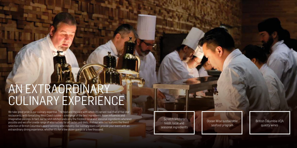## AN EXTRAORDINARY CULINARY EXPERIENCE

We take great pride in our culinary expertise. The food and the care with which it's served rival that of five-star restaurants, with tantalizing West Coast cuisine – a mélange of the best ingredients, Asian influences and imaginative pairings. In fact, our scratch kitchen uses only the freshest local and seasonal ingredients whenever possible and we offer a wide range of alternatives for all tastes and diets. And our wine list features the finest selection of British Columbia's award-winning wine industry. Our culinary team can provide your event with an extraordinary dining experience, whether it's for a few dozen guests or a few thousand.

Scratch kitchen: fresh, local and seasonal ingredients

British Columbia VQA quality wines

Ocean Wise sustainable seafood program